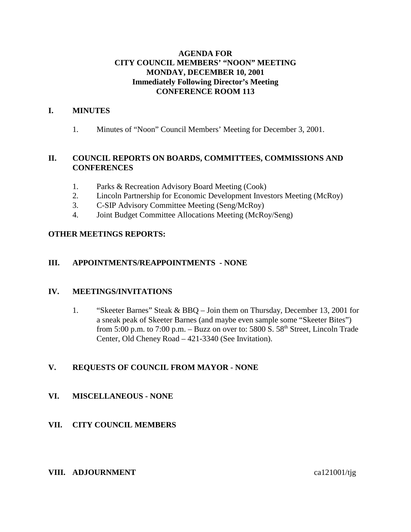### **AGENDA FOR CITY COUNCIL MEMBERS' "NOON" MEETING MONDAY, DECEMBER 10, 2001 Immediately Following Director's Meeting CONFERENCE ROOM 113**

### **I. MINUTES**

1. Minutes of "Noon" Council Members' Meeting for December 3, 2001.

### **II. COUNCIL REPORTS ON BOARDS, COMMITTEES, COMMISSIONS AND CONFERENCES**

- 1. Parks & Recreation Advisory Board Meeting (Cook)
- 2. Lincoln Partnership for Economic Development Investors Meeting (McRoy)
- 3. C-SIP Advisory Committee Meeting (Seng/McRoy)
- 4. Joint Budget Committee Allocations Meeting (McRoy/Seng)

### **OTHER MEETINGS REPORTS:**

### **III. APPOINTMENTS/REAPPOINTMENTS - NONE**

#### **IV. MEETINGS/INVITATIONS**

1. "Skeeter Barnes" Steak & BBQ – Join them on Thursday, December 13, 2001 for a sneak peak of Skeeter Barnes (and maybe even sample some "Skeeter Bites") from 5:00 p.m. to 7:00 p.m. – Buzz on over to: 5800 S. 58<sup>th</sup> Street, Lincoln Trade Center, Old Cheney Road – 421-3340 (See Invitation).

### **V. REQUESTS OF COUNCIL FROM MAYOR - NONE**

### **VI. MISCELLANEOUS - NONE**

### **VII. CITY COUNCIL MEMBERS**

#### **VIII. ADJOURNMENT** ca121001/tjg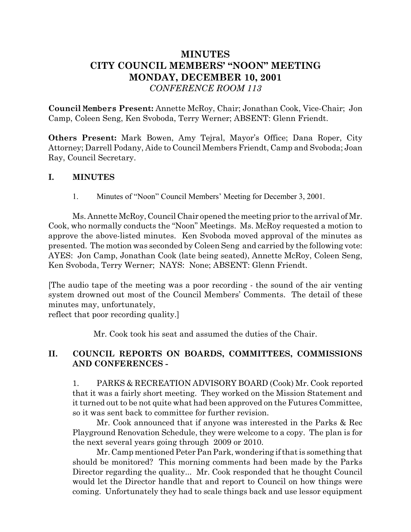# **MINUTES CITY COUNCIL MEMBERS' "NOON" MEETING MONDAY, DECEMBER 10, 2001** *CONFERENCE ROOM 113*

**Council** Members **Present:** Annette McRoy, Chair; Jonathan Cook, Vice-Chair; Jon Camp, Coleen Seng, Ken Svoboda, Terry Werner; ABSENT: Glenn Friendt.

**Others Present:** Mark Bowen, Amy Tejral, Mayor's Office; Dana Roper, City Attorney; Darrell Podany, Aide to Council Members Friendt, Camp and Svoboda; Joan Ray, Council Secretary.

## **I. MINUTES**

1. Minutes of "Noon" Council Members' Meeting for December 3, 2001.

Ms. Annette McRoy, Council Chair opened the meeting prior to the arrival of Mr. Cook, who normally conducts the "Noon" Meetings. Ms. McRoy requested a motion to approve the above-listed minutes. Ken Svoboda moved approval of the minutes as presented. The motion was seconded by Coleen Seng and carried by the following vote: AYES: Jon Camp, Jonathan Cook (late being seated), Annette McRoy, Coleen Seng, Ken Svoboda, Terry Werner; NAYS: None; ABSENT: Glenn Friendt.

[The audio tape of the meeting was a poor recording - the sound of the air venting system drowned out most of the Council Members' Comments. The detail of these minutes may, unfortunately,

reflect that poor recording quality.]

Mr. Cook took his seat and assumed the duties of the Chair.

# **II. COUNCIL REPORTS ON BOARDS, COMMITTEES, COMMISSIONS AND CONFERENCES -**

1. PARKS & RECREATION ADVISORY BOARD (Cook) Mr. Cook reported that it was a fairly short meeting. They worked on the Mission Statement and it turned out to be not quite what had been approved on the Futures Committee, so it was sent back to committee for further revision.

Mr. Cook announced that if anyone was interested in the Parks & Rec Playground Renovation Schedule, they were welcome to a copy. The plan is for the next several years going through 2009 or 2010.

Mr. Camp mentioned Peter Pan Park, wondering if that is something that should be monitored? This morning comments had been made by the Parks Director regarding the quality... Mr. Cook responded that he thought Council would let the Director handle that and report to Council on how things were coming. Unfortunately they had to scale things back and use lessor equipment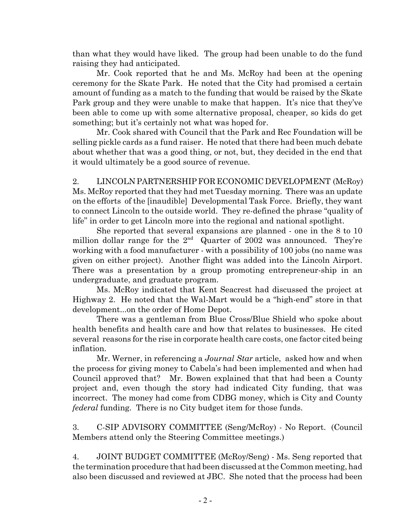than what they would have liked. The group had been unable to do the fund raising they had anticipated.

Mr. Cook reported that he and Ms. McRoy had been at the opening ceremony for the Skate Park. He noted that the City had promised a certain amount of funding as a match to the funding that would be raised by the Skate Park group and they were unable to make that happen. It's nice that they've been able to come up with some alternative proposal, cheaper, so kids do get something; but it's certainly not what was hoped for.

Mr. Cook shared with Council that the Park and Rec Foundation will be selling pickle cards as a fund raiser. He noted that there had been much debate about whether that was a good thing, or not, but, they decided in the end that it would ultimately be a good source of revenue.

2. LINCOLN PARTNERSHIP FOR ECONOMIC DEVELOPMENT (McRoy) Ms. McRoy reported that they had met Tuesday morning. There was an update on the efforts of the [inaudible] Developmental Task Force. Briefly, they want to connect Lincoln to the outside world. They re-defined the phrase "quality of life" in order to get Lincoln more into the regional and national spotlight.

She reported that several expansions are planned - one in the 8 to 10 million dollar range for the  $2<sup>nd</sup>$  Quarter of 2002 was announced. They're working with a food manufacturer - with a possibility of 100 jobs (no name was given on either project). Another flight was added into the Lincoln Airport. There was a presentation by a group promoting entrepreneur-ship in an undergraduate, and graduate program.

Ms. McRoy indicated that Kent Seacrest had discussed the project at Highway 2. He noted that the Wal-Mart would be a "high-end" store in that development...on the order of Home Depot.

There was a gentleman from Blue Cross/Blue Shield who spoke about health benefits and health care and how that relates to businesses. He cited several reasons for the rise in corporate health care costs, one factor cited being inflation.

Mr. Werner, in referencing a *Journal Star* article, asked how and when the process for giving money to Cabela's had been implemented and when had Council approved that? Mr. Bowen explained that that had been a County project and, even though the story had indicated City funding, that was incorrect. The money had come from CDBG money, which is City and County *federal* funding. There is no City budget item for those funds.

3. C-SIP ADVISORY COMMITTEE (Seng/McRoy) - No Report. (Council Members attend only the Steering Committee meetings.)

4. JOINT BUDGET COMMITTEE (McRoy/Seng) - Ms. Seng reported that the termination procedure that had been discussed at the Common meeting, had also been discussed and reviewed at JBC. She noted that the process had been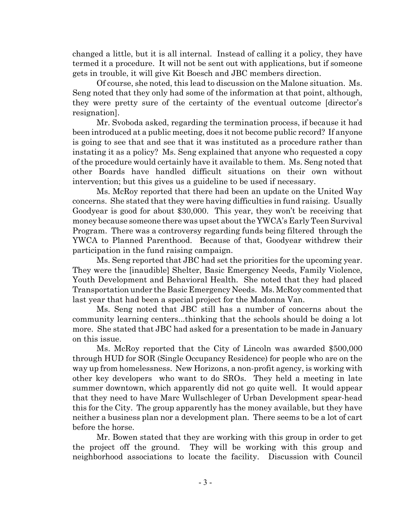changed a little, but it is all internal. Instead of calling it a policy, they have termed it a procedure. It will not be sent out with applications, but if someone gets in trouble, it will give Kit Boesch and JBC members direction.

Of course, she noted, this lead to discussion on the Malone situation. Ms. Seng noted that they only had some of the information at that point, although, they were pretty sure of the certainty of the eventual outcome [director's resignation].

Mr. Svoboda asked, regarding the termination process, if because it had been introduced at a public meeting, does it not become public record? If anyone is going to see that and see that it was instituted as a procedure rather than instating it as a policy? Ms. Seng explained that anyone who requested a copy of the procedure would certainly have it available to them. Ms. Seng noted that other Boards have handled difficult situations on their own without intervention; but this gives us a guideline to be used if necessary.

Ms. McRoy reported that there had been an update on the United Way concerns. She stated that they were having difficulties in fund raising. Usually Goodyear is good for about \$30,000. This year, they won't be receiving that money because someone there was upset about the YWCA's Early Teen Survival Program. There was a controversy regarding funds being filtered through the YWCA to Planned Parenthood. Because of that, Goodyear withdrew their participation in the fund raising campaign.

Ms. Seng reported that JBC had set the priorities for the upcoming year. They were the [inaudible] Shelter, Basic Emergency Needs, Family Violence, Youth Development and Behavioral Health. She noted that they had placed Transportation under the Basic Emergency Needs. Ms. McRoy commented that last year that had been a special project for the Madonna Van.

Ms. Seng noted that JBC still has a number of concerns about the community learning centers...thinking that the schools should be doing a lot more. She stated that JBC had asked for a presentation to be made in January on this issue.

Ms. McRoy reported that the City of Lincoln was awarded \$500,000 through HUD for SOR (Single Occupancy Residence) for people who are on the way up from homelessness. New Horizons, a non-profit agency, is working with other key developers who want to do SROs. They held a meeting in late summer downtown, which apparently did not go quite well. It would appear that they need to have Marc Wullschleger of Urban Development spear-head this for the City. The group apparently has the money available, but they have neither a business plan nor a development plan. There seems to be a lot of cart before the horse.

Mr. Bowen stated that they are working with this group in order to get the project off the ground. They will be working with this group and neighborhood associations to locate the facility. Discussion with Council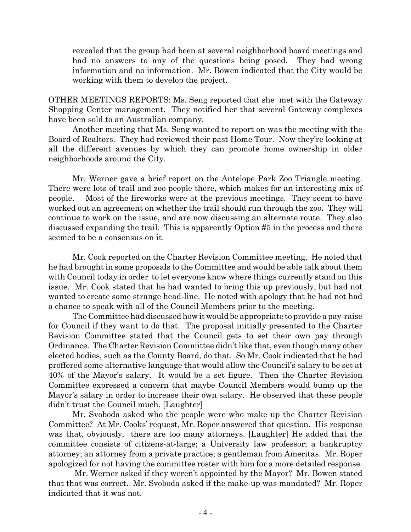revealed that the group had been at several neighborhood board meetings and had no answers to any of the questions being posed. They had wrong information and no information. Mr. Bowen indicated that the City would be working with them to develop the project.

OTHER MEETINGS REPORTS: Ms. Seng reported that she met with the Gateway Shopping Center management. They notified her that several Gateway complexes have been sold to an Australian company.

 Another meeting that Ms. Seng wanted to report on was the meeting with the Board of Realtors. They had reviewed their past Home Tour. Now they're looking at all the different avenues by which they can promote home ownership in older neighborhoods around the City.

Mr. Werner gave a brief report on the Antelope Park Zoo Triangle meeting. There were lots of trail and zoo people there, which makes for an interesting mix of people. Most of the fireworks were at the previous meetings. They seem to have worked out an agreement on whether the trail should run through the zoo. They will continue to work on the issue, and are now discussing an alternate route. They also discussed expanding the trail. This is apparently Option #5 in the process and there seemed to be a consensus on it.

Mr. Cook reported on the Charter Revision Committee meeting. He noted that he had brought in some proposals to the Committee and would be able talk about them with Council today in order to let everyone know where things currently stand on this issue. Mr. Cook stated that he had wanted to bring this up previously, but had not wanted to create some strange head-line. He noted with apology that he had not had a chance to speak with all of the Council Members prior to the meeting.

The Committee had discussed how it would be appropriate to provide a pay-raise for Council if they want to do that. The proposal initially presented to the Charter Revision Committee stated that the Council gets to set their own pay through Ordinance. The Charter Revision Committee didn't like that, even though many other elected bodies, such as the County Board, do that. So Mr. Cook indicated that he had proffered some alternative language that would allow the Council's salary to be set at 40% of the Mayor's salary. It would be a set figure. Then the Charter Revision Committee expressed a concern that maybe Council Members would bump up the Mayor's salary in order to increase their own salary. He observed that these people didn't trust the Council much. [Laughter]

Mr. Svoboda asked who the people were who make up the Charter Revision Committee? At Mr. Cooks' request, Mr. Roper answered that question. His response was that, obviously, there are too many attorneys. [Laughter] He added that the committee consists of citizens-at-large; a University law professor; a bankruptcy attorney; an attorney from a private practice; a gentleman from Ameritas. Mr. Roper apologized for not having the committee roster with him for a more detailed response.

 Mr. Werner asked if they weren't appointed by the Mayor? Mr. Bowen stated that that was correct. Mr. Svoboda asked if the make-up was mandated? Mr. Roper indicated that it was not.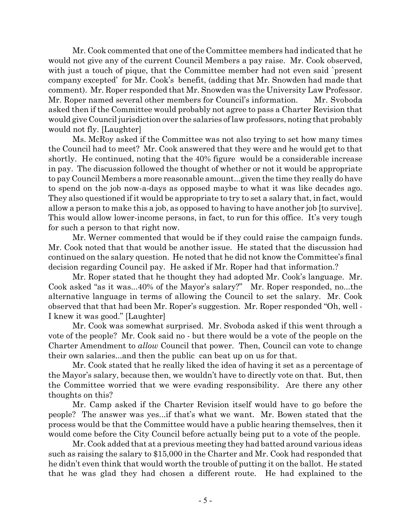Mr. Cook commented that one of the Committee members had indicated that he would not give any of the current Council Members a pay raise. Mr. Cook observed, with just a touch of pique, that the Committee member had not even said `present company excepted' for Mr. Cook's benefit, (adding that Mr. Snowden had made that comment). Mr. Roper responded that Mr. Snowden was the University Law Professor. Mr. Roper named several other members for Council's information. Mr. Svoboda asked then if the Committee would probably not agree to pass a Charter Revision that would give Council jurisdiction over the salaries of law professors, noting that probably would not fly. [Laughter]

Ms. McRoy asked if the Committee was not also trying to set how many times the Council had to meet? Mr. Cook answered that they were and he would get to that shortly. He continued, noting that the 40% figure would be a considerable increase in pay. The discussion followed the thought of whether or not it would be appropriate to pay Council Members a more reasonable amount...given the time they really do have to spend on the job now-a-days as opposed maybe to what it was like decades ago. They also questioned if it would be appropriate to try to set a salary that, in fact, would allow a person to make this a job, as opposed to having to have another job [to survive]. This would allow lower-income persons, in fact, to run for this office. It's very tough for such a person to that right now.

Mr. Werner commented that would be if they could raise the campaign funds. Mr. Cook noted that that would be another issue. He stated that the discussion had continued on the salary question. He noted that he did not know the Committee's final decision regarding Council pay. He asked if Mr. Roper had that information.?

Mr. Roper stated that he thought they had adopted Mr. Cook's language. Mr. Cook asked "as it was...40% of the Mayor's salary?" Mr. Roper responded, no...the alternative language in terms of allowing the Council to set the salary. Mr. Cook observed that that had been Mr. Roper's suggestion. Mr. Roper responded "Oh, well - I knew it was good." [Laughter]

Mr. Cook was somewhat surprised. Mr. Svoboda asked if this went through a vote of the people? Mr. Cook said no - but there would be a vote of the people on the Charter Amendment to *allow* Council that power. Then, Council can vote to change their own salaries...and then the public can beat up on us for that.

Mr. Cook stated that he really liked the idea of having it set as a percentage of the Mayor's salary, because then, we wouldn't have to directly vote on that. But, then the Committee worried that we were evading responsibility. Are there any other thoughts on this?

Mr. Camp asked if the Charter Revision itself would have to go before the people? The answer was yes...if that's what we want. Mr. Bowen stated that the process would be that the Committee would have a public hearing themselves, then it would come before the City Council before actually being put to a vote of the people.

Mr. Cook added that at a previous meeting they had batted around various ideas such as raising the salary to \$15,000 in the Charter and Mr. Cook had responded that he didn't even think that would worth the trouble of putting it on the ballot. He stated that he was glad they had chosen a different route. He had explained to the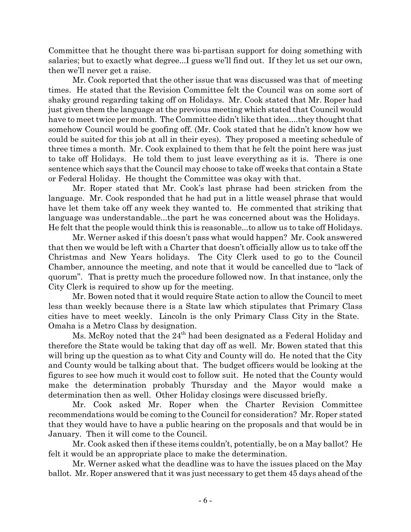Committee that he thought there was bi-partisan support for doing something with salaries; but to exactly what degree...I guess we'll find out. If they let us set our own, then we'll never get a raise.

Mr. Cook reported that the other issue that was discussed was that of meeting times. He stated that the Revision Committee felt the Council was on some sort of shaky ground regarding taking off on Holidays. Mr. Cook stated that Mr. Roper had just given them the language at the previous meeting which stated that Council would have to meet twice per month. The Committee didn't like that idea....they thought that somehow Council would be goofing off. (Mr. Cook stated that he didn't know how we could be suited for this job at all in their eyes). They proposed a meeting schedule of three times a month. Mr. Cook explained to them that he felt the point here was just to take off Holidays. He told them to just leave everything as it is. There is one sentence which says that the Council may choose to take off weeks that contain a State or Federal Holiday. He thought the Committee was okay with that.

Mr. Roper stated that Mr. Cook's last phrase had been stricken from the language. Mr. Cook responded that he had put in a little weasel phrase that would have let them take off any week they wanted to. He commented that striking that language was understandable...the part he was concerned about was the Holidays. He felt that the people would think this is reasonable...to allow us to take off Holidays.

Mr. Werner asked if this doesn't pass what would happen? Mr. Cook answered that then we would be left with a Charter that doesn't officially allow us to take off the Christmas and New Years holidays. The City Clerk used to go to the Council Chamber, announce the meeting, and note that it would be cancelled due to "lack of quorum". That is pretty much the procedure followed now. In that instance, only the City Clerk is required to show up for the meeting.

Mr. Bowen noted that it would require State action to allow the Council to meet less than weekly because there is a State law which stipulates that Primary Class cities have to meet weekly. Lincoln is the only Primary Class City in the State. Omaha is a Metro Class by designation.

Ms. McRoy noted that the  $24<sup>th</sup>$  had been designated as a Federal Holiday and therefore the State would be taking that day off as well. Mr. Bowen stated that this will bring up the question as to what City and County will do. He noted that the City and County would be talking about that. The budget officers would be looking at the figures to see how much it would cost to follow suit. He noted that the County would make the determination probably Thursday and the Mayor would make a determination then as well. Other Holiday closings were discussed briefly.

Mr. Cook asked Mr. Roper when the Charter Revision Committee recommendations would be coming to the Council for consideration? Mr. Roper stated that they would have to have a public hearing on the proposals and that would be in January. Then it will come to the Council.

Mr. Cook asked then if these items couldn't, potentially, be on a May ballot? He felt it would be an appropriate place to make the determination.

Mr. Werner asked what the deadline was to have the issues placed on the May ballot. Mr. Roper answered that it was just necessary to get them 45 days ahead of the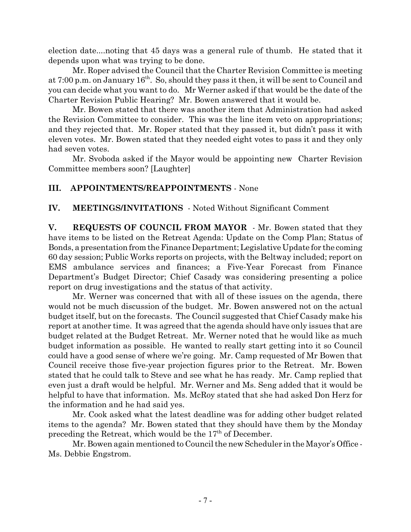election date....noting that 45 days was a general rule of thumb. He stated that it depends upon what was trying to be done.

Mr. Roper advised the Council that the Charter Revision Committee is meeting at 7:00 p.m. on January 16<sup>th</sup>. So, should they pass it then, it will be sent to Council and you can decide what you want to do. Mr Werner asked if that would be the date of the Charter Revision Public Hearing? Mr. Bowen answered that it would be.

Mr. Bowen stated that there was another item that Administration had asked the Revision Committee to consider. This was the line item veto on appropriations; and they rejected that. Mr. Roper stated that they passed it, but didn't pass it with eleven votes. Mr. Bowen stated that they needed eight votes to pass it and they only had seven votes.

Mr. Svoboda asked if the Mayor would be appointing new Charter Revision Committee members soon? [Laughter]

# **III. APPOINTMENTS/REAPPOINTMENTS** - None

## **IV. MEETINGS/INVITATIONS** - Noted Without Significant Comment

**V. REQUESTS OF COUNCIL FROM MAYOR** - Mr. Bowen stated that they have items to be listed on the Retreat Agenda: Update on the Comp Plan; Status of Bonds, a presentation from the Finance Department; Legislative Update for the coming 60 day session; Public Works reports on projects, with the Beltway included; report on EMS ambulance services and finances; a Five-Year Forecast from Finance Department's Budget Director; Chief Casady was considering presenting a police report on drug investigations and the status of that activity.

Mr. Werner was concerned that with all of these issues on the agenda, there would not be much discussion of the budget. Mr. Bowen answered not on the actual budget itself, but on the forecasts. The Council suggested that Chief Casady make his report at another time. It was agreed that the agenda should have only issues that are budget related at the Budget Retreat. Mr. Werner noted that he would like as much budget information as possible. He wanted to really start getting into it so Council could have a good sense of where we're going. Mr. Camp requested of Mr Bowen that Council receive those five-year projection figures prior to the Retreat. Mr. Bowen stated that he could talk to Steve and see what he has ready. Mr. Camp replied that even just a draft would be helpful. Mr. Werner and Ms. Seng added that it would be helpful to have that information. Ms. McRoy stated that she had asked Don Herz for the information and he had said yes.

Mr. Cook asked what the latest deadline was for adding other budget related items to the agenda? Mr. Bowen stated that they should have them by the Monday preceding the Retreat, which would be the  $17<sup>th</sup>$  of December.

Mr. Bowen again mentioned to Council the new Scheduler in the Mayor's Office - Ms. Debbie Engstrom.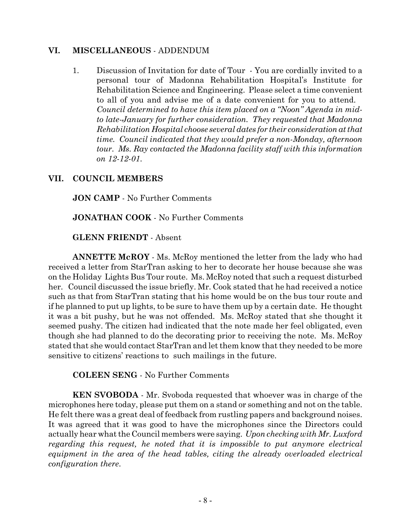### **VI. MISCELLANEOUS** - ADDENDUM

1. Discussion of Invitation for date of Tour - You are cordially invited to a personal tour of Madonna Rehabilitation Hospital's Institute for Rehabilitation Science and Engineering. Please select a time convenient to all of you and advise me of a date convenient for you to attend. *Council determined to have this item placed on a "Noon" Agenda in midto late-January for further consideration. They requested that Madonna Rehabilitation Hospital choose several dates for their consideration at that time. Council indicated that they would prefer a non-Monday, afternoon tour. Ms. Ray contacted the Madonna facility staff with this information on 12-12-01*.

## **VII. COUNCIL MEMBERS**

**JON CAMP** - No Further Comments

**JONATHAN COOK** - No Further Comments

**GLENN FRIENDT** - Absent

**ANNETTE McROY** - Ms. McRoy mentioned the letter from the lady who had received a letter from StarTran asking to her to decorate her house because she was on the Holiday Lights Bus Tour route. Ms. McRoy noted that such a request disturbed her. Council discussed the issue briefly. Mr. Cook stated that he had received a notice such as that from StarTran stating that his home would be on the bus tour route and if he planned to put up lights, to be sure to have them up by a certain date. He thought it was a bit pushy, but he was not offended. Ms. McRoy stated that she thought it seemed pushy. The citizen had indicated that the note made her feel obligated, even though she had planned to do the decorating prior to receiving the note. Ms. McRoy stated that she would contact StarTran and let them know that they needed to be more sensitive to citizens' reactions to such mailings in the future.

**COLEEN SENG** - No Further Comments

**KEN SVOBODA** - Mr. Svoboda requested that whoever was in charge of the microphones here today, please put them on a stand or something and not on the table. He felt there was a great deal of feedback from rustling papers and background noises. It was agreed that it was good to have the microphones since the Directors could actually hear what the Council members were saying. *Upon checking with Mr. Luxford regarding this request, he noted that it is impossible to put anymore electrical equipment in the area of the head tables, citing the already overloaded electrical configuration there*.